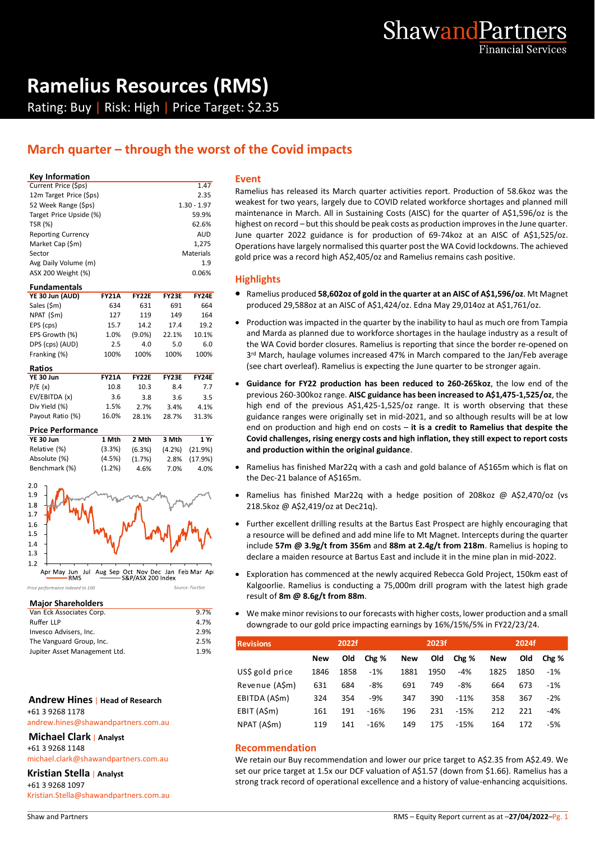

# **Ramelius Resources (RMS)**

Rating: Buy | Risk: High | Price Target: \$2.35

### **March quarter – through the worst of the Covid impacts**

#### **Key Information**

| Current Price (\$ps)      | 1.47          |    |
|---------------------------|---------------|----|
| 12m Target Price (\$ps)   | 2.35          | R  |
| 52 Week Range (\$ps)      | $1.30 - 1.97$ | ٧  |
| Target Price Upside (%)   | 59.9%         | n  |
| <b>TSR (%)</b>            | 62.6%         | h  |
| <b>Reporting Currency</b> | <b>AUD</b>    | J۱ |
| Market Cap (\$m)          | 1.275         | C  |
| Sector                    | Materials     | g  |
| Avg Daily Volume (m)      | 1.9           |    |
| ASX 200 Weight (%)        | 0.06%         |    |
|                           |               |    |

| <b>FY21A</b> | <b>FY22F</b> | <b>FY23E</b> | <b>FY24E</b> |
|--------------|--------------|--------------|--------------|
| 634          | 631          | 691          | 664          |
| 127          | 119          | 149          | 164          |
| 15.7         | 14.2         | 17.4         | 19.2         |
| 1.0%         | $(9.0\%)$    | 22.1%        | 10.1%        |
| 2.5          | 4.0          | 5.0          | 6.0          |
| 100%         | 100%         | 100%         | 100%         |
|              |              |              |              |

| Ratios           |              |              |              |              |
|------------------|--------------|--------------|--------------|--------------|
| YE 30 Jun        | <b>FY21A</b> | <b>FY22E</b> | <b>FY23F</b> | <b>FY24E</b> |
| P/E(x)           | 10.8         | 10.3         | 8.4          | 7.7          |
| EV/EBITDA (x)    | 3.6          | 3.8          | 3.6          | 3.5          |
| Div Yield (%)    | 1.5%         | 2.7%         | 3.4%         | 4.1%         |
| Payout Ratio (%) | 16.0%        | 28.1%        | 28.7%        | 31.3%        |

#### **Price Performance**

| YE 30 Jun     | 1 Mth     | 2 Mth  | 3 Mth | 1 Yr                 |
|---------------|-----------|--------|-------|----------------------|
| Relative (%)  | (3.3%)    | (6.3%) |       | $(4.2\%)$ $(21.9\%)$ |
| Absolute (%)  | (4.5%)    | (1.7%) |       | 2.8% (17.9%)         |
| Benchmark (%) | $(1.2\%)$ | 4.6%   | 7.0%  | 4.0%                 |



.<br>re: EactSet

Price performance indexed to 100

#### **Major Shareholders**

| Van Eck Associates Corp.      | 9.7% |  |
|-------------------------------|------|--|
| Ruffer LLP                    | 4.7% |  |
| Invesco Advisers, Inc.        | 2.9% |  |
| The Vanguard Group, Inc.      | 2.5% |  |
| Jupiter Asset Management Ltd. | 1.9% |  |

#### **Andrew Hines** | **Head of Research** +61 3 9268 1178

andrew.hines@shawandpartners.com.au

**Michael Clark** | **Analyst**

+61 3 9268 1148

michael.clark@shawandpartners.com.au

**Kristian Stella** | **Analyst**

+61 3 9268 1097 Kristian.Stella@shawandpartners.com.au

#### **Event**

Ramelius has released its March quarter activities report. Production of 58.6koz was the weakest for two years, largely due to COVID related workforce shortages and planned mill maintenance in March. All in Sustaining Costs (AISC) for the quarter of A\$1,596/oz is the highest on record – but this should be peak costs as production improves in the June quarter. June quarter 2022 guidance is for production of 69-74koz at an AISC of A\$1,525/oz. Operations have largely normalised this quarter post the WA Covid lockdowns. The achieved gold price was a record high A\$2,405/oz and Ramelius remains cash positive.

#### **Highlights**

- Ramelius produced **58,602oz of gold in the quarter at an AISC of A\$1,596/oz**. Mt Magnet produced 29,588oz at an AISC of A\$1,424/oz. Edna May 29,014oz at A\$1,761/oz.
- Production was impacted in the quarter by the inability to haul as much ore from Tampia and Marda as planned due to workforce shortages in the haulage industry as a result of the WA Covid border closures. Ramelius is reporting that since the border re-opened on 3<sup>rd</sup> March, haulage volumes increased 47% in March compared to the Jan/Feb average (see chart overleaf). Ramelius is expecting the June quarter to be stronger again.
- **Guidance for FY22 production has been reduced to 260-265koz**, the low end of the previous 260-300koz range. **AISC guidance has been increased to A\$1,475-1,525/oz**, the high end of the previous A\$1,425-1,525/oz range. It is worth observing that these guidance ranges were originally set in mid-2021, and so although results will be at low end on production and high end on costs – **it is a credit to Ramelius that despite the Covid challenges, rising energy costs and high inflation, they still expect to report costs and production within the original guidance**.
- Ramelius has finished Mar22q with a cash and gold balance of A\$165m which is flat on the Dec-21 balance of A\$165m.
- Ramelius has finished Mar22q with a hedge position of 208koz @ A\$2,470/oz (vs 218.5koz @ A\$2,419/oz at Dec21q).
- Further excellent drilling results at the Bartus East Prospect are highly encouraging that a resource will be defined and add mine life to Mt Magnet. Intercepts during the quarter include **57m @ 3.9g/t from 356m** and **88m at 2.4g/t from 218m**. Ramelius is hoping to declare a maiden resource at Bartus East and include it in the mine plan in mid-2022.
- Exploration has commenced at the newly acquired Rebecca Gold Project, 150km east of Kalgoorlie. Ramelius is conducting a 75,000m drill program with the latest high grade result of **8m @ 8.6g/t from 88m**.
- We make minor revisions to our forecasts with higher costs, lower production and a small downgrade to our gold price impacting earnings by 16%/15%/5% in FY22/23/24.

| <b>Revisions</b> |            | 2022f |        |            | 2023f      |        |            | 2024f |       |
|------------------|------------|-------|--------|------------|------------|--------|------------|-------|-------|
|                  | <b>New</b> | Old   | Chg %  | <b>New</b> | <b>Old</b> | Chg %  | <b>New</b> | Old   | Chg % |
| US\$ gold price  | 1846       | 1858  | $-1%$  | 1881       | 1950       | -4%    | 1825       | 1850  | $-1%$ |
| Revenue (A\$m)   | 631        | 684   | -8%    | 691        | 749        | -8%    | 664        | 673   | $-1%$ |
| EBITDA (A\$m)    | 324        | 354   | -9%    | 347        | 390        | $-11%$ | 358        | 367   | $-2%$ |
| EBIT (A\$m)      | 161        | 191   | $-16%$ | 196        | 231        | $-15%$ | 212        | 221   | $-4%$ |
| NPAT (A\$m)      | 119        | 141   | $-16%$ | 149        | 175        | $-15%$ | 164        | 172   | -5%   |

#### **Recommendation**

We retain our Buy recommendation and lower our price target to A\$2.35 from A\$2.49. We set our price target at 1.5x our DCF valuation of A\$1.57 (down from \$1.66). Ramelius has a strong track record of operational excellence and a history of value-enhancing acquisitions.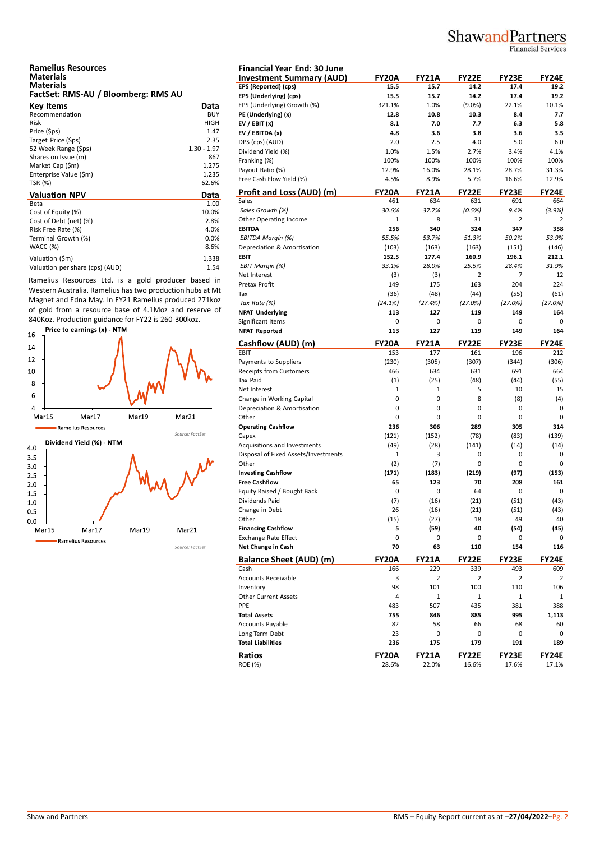## ShawandPartners

Financial Services

| <b>Ramelius Resources</b>           |  |
|-------------------------------------|--|
| <b>Materials</b>                    |  |
| <b>Materials</b>                    |  |
| FactSet: RMS-AU / Bloomberg: RMS AU |  |

| <b>Key Items</b>       | Data          | EP. |
|------------------------|---------------|-----|
| Recommendation         | <b>BUY</b>    | PE  |
| Risk                   | HIGH          | EV  |
| Price (\$ps)           | 1.47          | EV  |
| Target Price (\$ps)    | 2.35          | DP  |
| 52 Week Range (\$ps)   | $1.30 - 1.97$ | Di  |
| Shares on Issue (m)    | 867           | Fra |
| Market Cap (\$m)       | 1,275         | Pa  |
| Enterprise Value (\$m) | 1,235         |     |
| TSR (%)                | 62.6%         | Fre |
|                        |               |     |
| <b>Valuation NPV</b>   | Data          | Pr  |
| Beta                   | 1.00          | Sal |
| Cost of Equity (%)     | 10.0%         | Sc  |
| Cost of Debt (net) (%) | 2.8%          | Ot  |
| Risk Free Rate (%)     | 4.0%          | EB  |
| Terminal Growth (%)    | 0.0%          | EE  |
| <b>WACC (%)</b>        | 8.6%          | De  |
| Valuation (\$m)        | 1,338         | EB  |

Ramelius Resources Ltd. is a gold producer based in Western Australia. Ramelius has two production hubs at Mt Magnet and Edna May. In FY21 Ramelius produced 271koz of gold from a resource base of 4.1Moz and reserve of 840Koz. Production guidance for FY22 is 260-300koz.



| <b>Financial Year End: 30 June</b>   |              |                     |                     |              |                |
|--------------------------------------|--------------|---------------------|---------------------|--------------|----------------|
| <b>Investment Summary (AUD)</b>      | FY20A        | <b>FY21A</b>        | <b>FY22E</b>        | FY23E        | <b>FY24E</b>   |
| <b>EPS (Reported) (cps)</b>          | 15.5         | 15.7                | 14.2                | 17.4         | 19.2           |
| EPS (Underlying) (cps)               | 15.5         | 15.7                | 14.2                | 17.4         | 19.2           |
| EPS (Underlying) Growth (%)          | 321.1%       | 1.0%                | $(9.0\%)$           | 22.1%        | 10.1%          |
| PE (Underlying) (x)                  | 12.8         | 10.8                | 10.3                | 8.4          | 7.7            |
| EV / EBIT $(x)$                      | 8.1          | 7.0                 | 7.7                 | 6.3          | 5.8            |
| EV / EBITDA (x)                      | 4.8          | 3.6                 | 3.8                 | 3.6          | 3.5            |
| DPS (cps) (AUD)                      | 2.0          | 2.5                 | 4.0                 | 5.0          | 6.0            |
| Dividend Yield (%)                   | 1.0%         | 1.5%                | 2.7%                | 3.4%         | 4.1%           |
| Franking (%)                         | 100%         | 100%                | 100%                | 100%         | 100%           |
| Payout Ratio (%)                     | 12.9%        | 16.0%               | 28.1%               | 28.7%        | 31.3%          |
| Free Cash Flow Yield (%)             | 4.5%         | 8.9%                | 5.7%                | 16.6%        | 12.9%          |
|                                      | <b>FY20A</b> |                     |                     |              | <b>FY24E</b>   |
| Profit and Loss (AUD) (m)<br>Sales   | 461          | <b>FY21A</b><br>634 | <b>FY22E</b><br>631 | FY23E<br>691 | 664            |
| Sales Growth (%)                     | 30.6%        | 37.7%               | (0.5%)              | 9.4%         | (3.9%)         |
| Other Operating Income               | 1            | 8                   | 31                  | 2            | 2              |
| <b>EBITDA</b>                        | 256          | 340                 | 324                 | 347          | 358            |
|                                      | 55.5%        | 53.7%               | 51.3%               | 50.2%        | 53.9%          |
| EBITDA Margin (%)                    |              |                     |                     |              |                |
| Depreciation & Amortisation          | (103)        | (163)               | (163)               | (151)        | (146)          |
| <b>EBIT</b>                          | 152.5        | 177.4               | 160.9               | 196.1        | 212.1          |
| <b>EBIT Margin (%)</b>               | 33.1%        | 28.0%               | 25.5%               | 28.4%        | 31.9%          |
| Net Interest                         | (3)          | (3)                 | 2                   | 7            | 12             |
| Pretax Profit                        | 149          | 175                 | 163                 | 204          | 224            |
| Tax                                  | (36)         | (48)                | (44)                | (55)         | (61)           |
| Tax Rate (%)                         | (24.1%)      | (27.4%)             | (27.0%)             | (27.0%)      | (27.0%)        |
| <b>NPAT Underlying</b>               | 113          | 127                 | 119                 | 149          | 164            |
| Significant Items                    | 0            | 0                   | 0                   | 0            | 0              |
| <b>NPAT Reported</b>                 | 113          | 127                 | 119                 | 149          | 164            |
| Cashflow (AUD) (m)                   | <b>FY20A</b> | <b>FY21A</b>        | <b>FY22E</b>        | <b>FY23E</b> | FY24E          |
| EBIT                                 | 153          | 177                 | 161                 | 196          | 212            |
| Payments to Suppliers                | (230)        | (305)               | (307)               | (344)        | (306)          |
| <b>Receipts from Customers</b>       | 466          | 634                 | 631                 | 691          | 664            |
| Tax Paid                             | (1)          | (25)                | (48)                | (44)         | (55)           |
| Net Interest                         | 1            | 1                   | 5                   | 10           | 15             |
| Change in Working Capital            | 0            | 0                   | 8                   | (8)          | (4)            |
| Depreciation & Amortisation          | 0            | 0                   | 0                   | 0            | 0              |
| Other                                | 0            | 0                   | 0                   | 0            | 0              |
| <b>Operating Cashflow</b>            | 236          | 306                 | 289                 | 305          | 314            |
| Capex                                | (121)        | (152)               | (78)                | (83)         | (139)          |
| Acquisitions and Investments         | (49)         | (28)                | (141)               | (14)         | (14)           |
| Disposal of Fixed Assets/Investments | 1            | 3                   | 0                   | 0            | 0              |
| Other                                | (2)          | (7)                 | 0                   | 0            | 0              |
| <b>Investing Cashflow</b>            | (171)        | (183)               | (219)               | (97)         | (153)          |
| <b>Free Cashflow</b>                 | 65           | 123                 | 70                  | 208          | 161            |
| Equity Raised / Bought Back          | 0            | 0                   | 64                  | 0            | 0              |
| Dividends Paid                       |              |                     |                     |              |                |
|                                      | (7)          | (16)                | (21)                | (51)         | (43)           |
| Change in Debt                       | 26           | (16)                | (21)                | (51)         | (43)           |
| Other                                | (15)         | (27)                | 18                  | 49           | 40             |
| <b>Financing Cashflow</b>            | 5            | (59)                | 40                  | (54)         | (45)           |
| <b>Exchange Rate Effect</b>          | 0            | 0                   | 0                   | 0            | 0              |
| Net Change in Cash                   | 70           | 63                  | 110                 | 154          | 116            |
| <b>Balance Sheet (AUD) (m)</b>       | <b>FY20A</b> | <b>FY21A</b>        | <b>FY22E</b>        | FY23E        | FY24E          |
| Cash                                 | 166          | 229                 | 339                 | 493          | 609            |
| Accounts Receivable                  | 3            | 2                   | $\overline{2}$      | 2            | $\overline{2}$ |
| Inventory                            | 98           | 101                 | 100                 | 110          | 106            |
| <b>Other Current Assets</b>          | 4            | 1                   | 1                   | 1            | $\mathbf{1}$   |
| PPE                                  | 483          | 507                 | 435                 | 381          | 388            |
| <b>Total Assets</b>                  | 755          | 846                 | 885                 | 995          | 1,113          |
| <b>Accounts Payable</b>              | 82           | 58                  | 66                  | 68           | 60             |
| Long Term Debt                       | 23           | 0                   | 0                   | 0            | 0              |
| <b>Total Liabilities</b>             | 236          | 175                 | 179                 | 191          | 189            |
|                                      |              |                     |                     |              |                |
| Ratios                               | <b>FY20A</b> | <b>FY21A</b>        | <b>FY22E</b>        | FY23E        | FY24E          |
| <b>ROE (%)</b>                       | 28.6%        | 22.0%               | 16.6%               | 17.6%        | 17.1%          |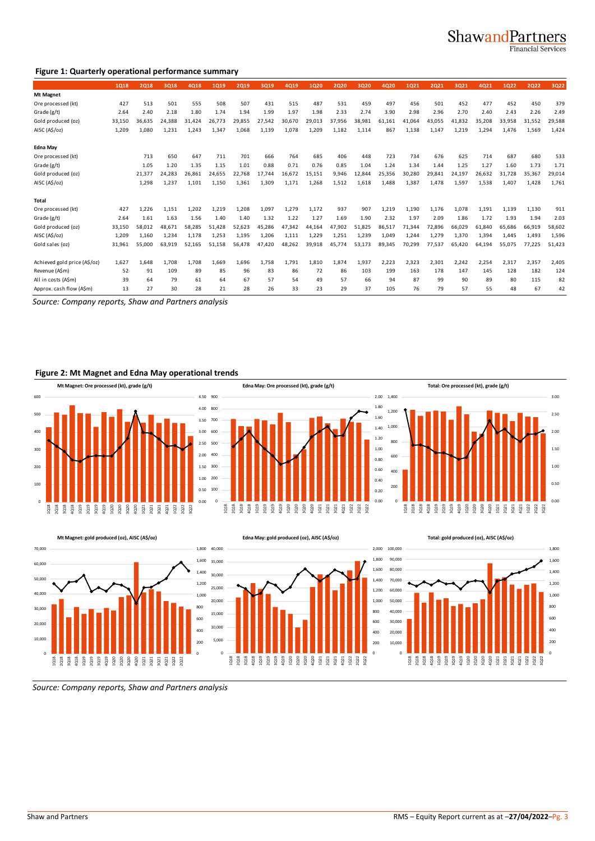### ShawandPartners

**Financial Services** 

#### **Figure 1: Quarterly operational performance summary**

|                                                     | 1018   | 2018   | 3018   | 4018   | 1019   | 2019   | 3019   | 4019   | 1020   | 2020   | 3020   | 4020   | 1021   | 2021   | 3021   | 4021   | 1022   | <b>2Q22</b> | 3Q22   |
|-----------------------------------------------------|--------|--------|--------|--------|--------|--------|--------|--------|--------|--------|--------|--------|--------|--------|--------|--------|--------|-------------|--------|
| Mt Magnet                                           |        |        |        |        |        |        |        |        |        |        |        |        |        |        |        |        |        |             |        |
| Ore processed (kt)                                  | 427    | 513    | 501    | 555    | 508    | 507    | 431    | 515    | 487    | 531    | 459    | 497    | 456    | 501    | 452    | 477    | 452    | 450         | 379    |
| Grade (g/t)                                         | 2.64   | 2.40   | 2.18   | 1.80   | 1.74   | 1.94   | 1.99   | 1.97   | 1.98   | 2.33   | 2.74   | 3.90   | 2.98   | 2.96   | 2.70   | 2.40   | 2.43   | 2.26        | 2.49   |
| Gold produced (oz)                                  | 33,150 | 36,635 | 24.388 | 31,424 | 26,773 | 29.855 | 27,542 | 30,670 | 29,013 | 37,956 | 38,981 | 61,161 | 41,064 | 43,055 | 41,832 | 35,208 | 33,958 | 31,552      | 29,588 |
| AISC (A\$/oz)                                       | 1,209  | 1.080  | 1.231  | 1,243  | 1,347  | 1.068  | 1.139  | 1.078  | 1,209  | 1.182  | 1,114  | 867    | 1.138  | 1,147  | 1,219  | 1,294  | 1,476  | 1,569       | 1,424  |
| <b>Edna May</b>                                     |        |        |        |        |        |        |        |        |        |        |        |        |        |        |        |        |        |             |        |
| Ore processed (kt)                                  |        | 713    | 650    | 647    | 711    | 701    | 666    | 764    | 685    | 406    | 448    | 723    | 734    | 676    | 625    | 714    | 687    | 680         | 533    |
| Grade (g/t)                                         |        | 1.05   | 1.20   | 1.35   | 1.15   | 1.01   | 0.88   | 0.71   | 0.76   | 0.85   | 1.04   | 1.24   | 1.34   | 1.44   | 1.25   | 1.27   | 1.60   | 1.73        | 1.71   |
| Gold produced (oz)                                  |        | 21,377 | 24.283 | 26.861 | 24.655 | 22.768 | 17.744 | 16.672 | 15.151 | 9,946  | 12.844 | 25,356 | 30.280 | 29.841 | 24.197 | 26.632 | 31.728 | 35,367      | 29,014 |
| AISC (A\$/oz)                                       |        | 1,298  | 1.237  | 1,101  | 1.150  | 1.361  | 1.309  | 1.171  | 1,268  | 1.512  | 1.618  | 1.488  | 1.387  | 1,478  | 1.597  | 1.538  | 1.407  | 1.428       | 1,761  |
| Total                                               |        |        |        |        |        |        |        |        |        |        |        |        |        |        |        |        |        |             |        |
| Ore processed (kt)                                  | 427    | 1,226  | 1,151  | 1,202  | 1,219  | 1,208  | 1.097  | 1,279  | 1,172  | 937    | 907    | 1,219  | 1,190  | 1,176  | 1.078  | 1,191  | 1.139  | 1,130       | 911    |
| Grade (g/t)                                         | 2.64   | 1.61   | 1.63   | 1.56   | 1.40   | 1.40   | 1.32   | 1.22   | 1.27   | 1.69   | 1.90   | 2.32   | 1.97   | 2.09   | 1.86   | 1.72   | 1.93   | 1.94        | 2.03   |
| Gold produced (oz)                                  | 33.150 | 58.012 | 48,671 | 58.285 | 51.428 | 52.623 | 45.286 | 47.342 | 44.164 | 47.902 | 51.825 | 86,517 | 71.344 | 72,896 | 66.029 | 61.840 | 65.686 | 66,919      | 58,602 |
| AISC (A\$/oz)                                       | 1,209  | 1,160  | 1,234  | 1,178  | 1,253  | 1,195  | 1,206  | 1,111  | 1,229  | 1,251  | 1,239  | 1,049  | 1,244  | 1,279  | 1,370  | 1,394  | 1,445  | 1,493       | 1,596  |
| Gold sales (oz)                                     | 31,961 | 55,000 | 63.919 | 52,165 | 51.158 | 56.478 | 47.420 | 48,262 | 39,918 | 45,774 | 53,173 | 89,345 | 70,299 | 77,537 | 65,420 | 64,194 | 55,075 | 77,225      | 51,423 |
| Achieved gold price (A\$/oz)                        | 1.627  | 1.648  | 1.708  | 1.708  | 1.669  | 1.696  | 1.758  | 1.791  | 1.810  | 1.874  | 1,937  | 2.223  | 2.323  | 2.301  | 2.242  | 2.254  | 2.317  | 2,357       | 2,405  |
| Revenue (A\$m)                                      | 52     | 91     | 109    | 89     | 85     | 96     | 83     | 86     | 72     | 86     | 103    | 199    | 163    | 178    | 147    | 145    | 128    | 182         | 124    |
| All in costs (A\$m)                                 | 39     | 64     | 79     | 61     | 64     | 67     | 57     | 54     | 49     | 57     | 66     | 94     | 87     | 99     | 90     | 89     | 80     | 115         | 82     |
| Approx. cash flow (A\$m)                            | 13     | 27     | 30     | 28     | 21     | 28     | 26     | 33     | 23     | 29     | 37     | 105    | 76     | 79     | 57     | 55     | 48     | 67          | 42     |
| Source: Company reports, Shaw and Partners analysis |        |        |        |        |        |        |        |        |        |        |        |        |        |        |        |        |        |             |        |

#### **Figure 2: Mt Magnet and Edna May operational trends**









*Source: Company reports, Shaw and Partners analysis*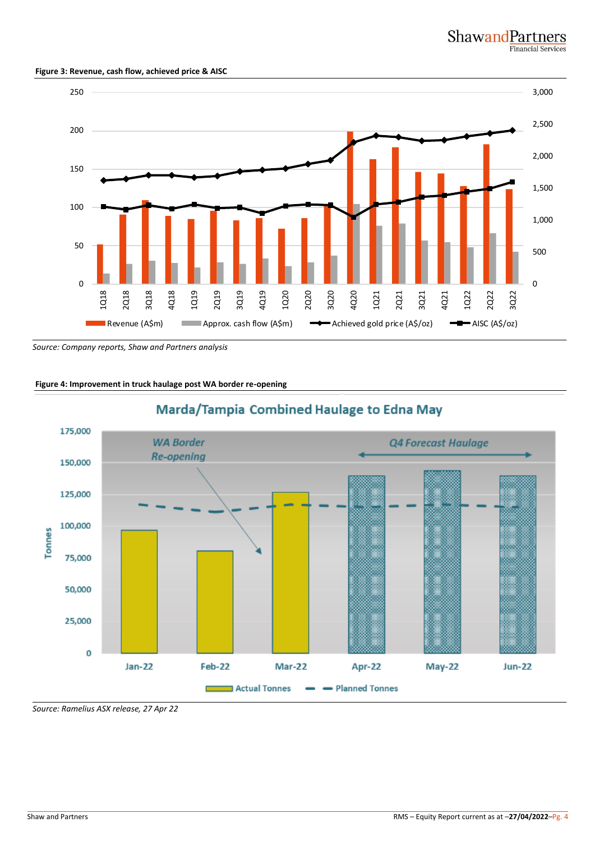#### **Figure 3: Revenue, cash flow, achieved price & AISC**



*Source: Company reports, Shaw and Partners analysis*

#### **Figure 4: Improvement in truck haulage post WA border re-opening**



### Marda/Tampia Combined Haulage to Edna May

*Source: Ramelius ASX release, 27 Apr 22*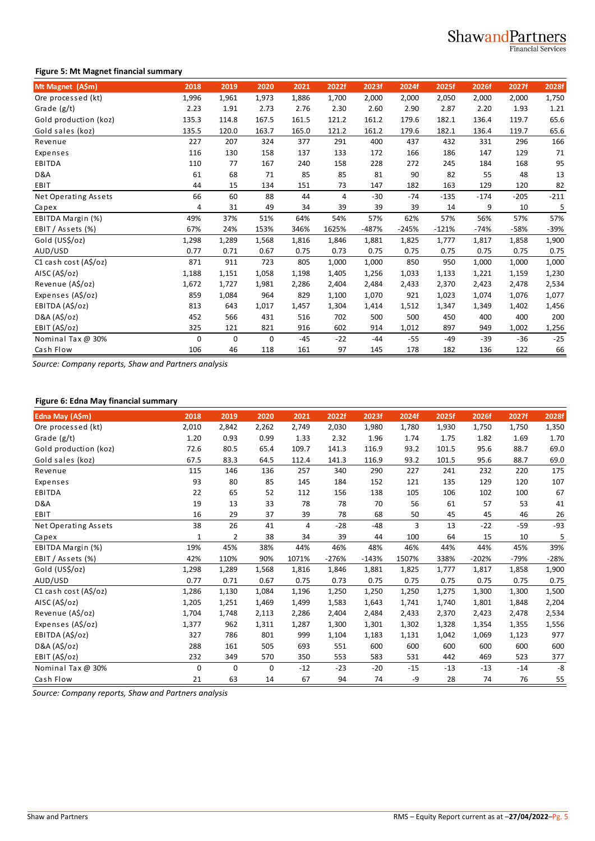#### **Figure 5: Mt Magnet financial summary**

| Mt Magnet (A\$m)      | 2018        | 2019  | 2020     | 2021  | 2022f          | 2023f   | 2024f   | 2025f   | 2026f  | 2027f  | 2028f  |
|-----------------------|-------------|-------|----------|-------|----------------|---------|---------|---------|--------|--------|--------|
| Ore processed (kt)    | 1,996       | 1,961 | 1,973    | 1,886 | 1,700          | 2,000   | 2,000   | 2,050   | 2,000  | 2,000  | 1,750  |
| Grade $(g/t)$         | 2.23        | 1.91  | 2.73     | 2.76  | 2.30           | 2.60    | 2.90    | 2.87    | 2.20   | 1.93   | 1.21   |
| Gold production (koz) | 135.3       | 114.8 | 167.5    | 161.5 | 121.2          | 161.2   | 179.6   | 182.1   | 136.4  | 119.7  | 65.6   |
| Gold sales (koz)      | 135.5       | 120.0 | 163.7    | 165.0 | 121.2          | 161.2   | 179.6   | 182.1   | 136.4  | 119.7  | 65.6   |
| Revenue               | 227         | 207   | 324      | 377   | 291            | 400     | 437     | 432     | 331    | 296    | 166    |
| Expenses              | 116         | 130   | 158      | 137   | 133            | 172     | 166     | 186     | 147    | 129    | 71     |
| EBITDA                | 110         | 77    | 167      | 240   | 158            | 228     | 272     | 245     | 184    | 168    | 95     |
| D&A                   | 61          | 68    | 71       | 85    | 85             | 81      | 90      | 82      | 55     | 48     | 13     |
| EBIT                  | 44          | 15    | 134      | 151   | 73             | 147     | 182     | 163     | 129    | 120    | 82     |
| Net Operating Assets  | 66          | 60    | 88       | 44    | $\overline{4}$ | $-30$   | $-74$   | $-135$  | $-174$ | $-205$ | $-211$ |
| Capex                 | 4           | 31    | 49       | 34    | 39             | 39      | 39      | 14      | 9      | 10     | 5      |
| EBITDA Margin (%)     | 49%         | 37%   | 51%      | 64%   | 54%            | 57%     | 62%     | 57%     | 56%    | 57%    | 57%    |
| EBIT / Assets (%)     | 67%         | 24%   | 153%     | 346%  | 1625%          | $-487%$ | $-245%$ | $-121%$ | $-74%$ | -58%   | $-39%$ |
| Gold (US\$/oz)        | 1,298       | 1,289 | 1,568    | 1,816 | 1,846          | 1,881   | 1,825   | 1,777   | 1,817  | 1,858  | 1,900  |
| AUD/USD               | 0.77        | 0.71  | 0.67     | 0.75  | 0.73           | 0.75    | 0.75    | 0.75    | 0.75   | 0.75   | 0.75   |
| C1 cash cost (A\$/oz) | 871         | 911   | 723      | 805   | 1,000          | 1,000   | 850     | 950     | 1,000  | 1,000  | 1,000  |
| AISC (A\$/oz)         | 1,188       | 1,151 | 1,058    | 1,198 | 1,405          | 1,256   | 1,033   | 1,133   | 1,221  | 1,159  | 1,230  |
| Revenue (A\$/oz)      | 1,672       | 1,727 | 1,981    | 2,286 | 2,404          | 2,484   | 2,433   | 2,370   | 2,423  | 2,478  | 2,534  |
| Expenses (A\$/oz)     | 859         | 1,084 | 964      | 829   | 1,100          | 1,070   | 921     | 1,023   | 1,074  | 1,076  | 1,077  |
| EBITDA (A\$/oz)       | 813         | 643   | 1,017    | 1,457 | 1,304          | 1,414   | 1,512   | 1,347   | 1,349  | 1,402  | 1,456  |
| D&A (A\$/oz)          | 452         | 566   | 431      | 516   | 702            | 500     | 500     | 450     | 400    | 400    | 200    |
| EBIT (A\$/oz)         | 325         | 121   | 821      | 916   | 602            | 914     | 1,012   | 897     | 949    | 1,002  | 1,256  |
| Nominal Tax @ 30%     | $\mathbf 0$ | 0     | $\Omega$ | $-45$ | $-22$          | $-44$   | $-55$   | $-49$   | $-39$  | $-36$  | $-25$  |
| Cash Flow             | 106         | 46    | 118      | 161   | 97             | 145     | 178     | 182     | 136    | 122    | 66     |

*Source: Company reports, Shaw and Partners analysis*

### **Figure 6: Edna May financial summary**

| 2,262<br>0.99<br>65.4<br>64.5<br>136<br>85<br>52<br>33<br>37<br>41<br>38<br>38%<br>90% | 2,749<br>1.33<br>109.7<br>112.4<br>257<br>145<br>112<br>78<br>39<br>$\overline{4}$<br>34<br>44%<br>1071% | 2,030<br>2.32<br>141.3<br>141.3<br>340<br>184<br>156<br>78<br>78<br>$-28$<br>39<br>46% | 1,980<br>1.96<br>116.9<br>116.9<br>290<br>152<br>138<br>70<br>68<br>$-48$<br>44<br>48% | 1,780<br>1.74<br>93.2<br>93.2<br>227<br>121<br>105<br>56<br>50<br>3<br>100<br>46% | 1,930<br>1.75<br>101.5<br>101.5<br>241<br>135<br>106<br>61<br>45<br>13<br>64<br>44% | 1,750<br>1.82<br>95.6<br>95.6<br>232<br>129<br>102<br>57<br>45<br>$-22$<br>15<br>44% | 1,750<br>1.69<br>88.7<br>88.7<br>220<br>120<br>100<br>53<br>46<br>$-59$<br>10<br>45% | 1,350<br>69.0<br>107<br>67<br>41<br>26<br>5 |
|----------------------------------------------------------------------------------------|----------------------------------------------------------------------------------------------------------|----------------------------------------------------------------------------------------|----------------------------------------------------------------------------------------|-----------------------------------------------------------------------------------|-------------------------------------------------------------------------------------|--------------------------------------------------------------------------------------|--------------------------------------------------------------------------------------|---------------------------------------------|
|                                                                                        |                                                                                                          |                                                                                        |                                                                                        |                                                                                   |                                                                                     |                                                                                      |                                                                                      | 1.70<br>69.0<br>175<br>39%                  |
|                                                                                        |                                                                                                          |                                                                                        |                                                                                        |                                                                                   |                                                                                     |                                                                                      |                                                                                      |                                             |
|                                                                                        |                                                                                                          |                                                                                        |                                                                                        |                                                                                   |                                                                                     |                                                                                      |                                                                                      |                                             |
|                                                                                        |                                                                                                          |                                                                                        |                                                                                        |                                                                                   |                                                                                     |                                                                                      |                                                                                      | $-93$                                       |
|                                                                                        |                                                                                                          |                                                                                        |                                                                                        |                                                                                   |                                                                                     |                                                                                      |                                                                                      |                                             |
|                                                                                        |                                                                                                          |                                                                                        |                                                                                        |                                                                                   |                                                                                     |                                                                                      |                                                                                      |                                             |
|                                                                                        |                                                                                                          |                                                                                        |                                                                                        |                                                                                   |                                                                                     |                                                                                      |                                                                                      |                                             |
|                                                                                        |                                                                                                          |                                                                                        |                                                                                        |                                                                                   |                                                                                     |                                                                                      |                                                                                      |                                             |
|                                                                                        |                                                                                                          |                                                                                        |                                                                                        |                                                                                   |                                                                                     |                                                                                      |                                                                                      |                                             |
|                                                                                        |                                                                                                          |                                                                                        |                                                                                        |                                                                                   |                                                                                     |                                                                                      |                                                                                      |                                             |
|                                                                                        |                                                                                                          |                                                                                        |                                                                                        |                                                                                   |                                                                                     |                                                                                      |                                                                                      |                                             |
|                                                                                        |                                                                                                          |                                                                                        |                                                                                        |                                                                                   |                                                                                     |                                                                                      |                                                                                      |                                             |
|                                                                                        |                                                                                                          | -276%                                                                                  | $-143%$                                                                                | 1507%                                                                             | 338%                                                                                | $-202%$                                                                              | $-79%$                                                                               | -28%                                        |
| 1,568                                                                                  | 1,816                                                                                                    | 1,846                                                                                  | 1,881                                                                                  | 1,825                                                                             | 1,777                                                                               | 1,817                                                                                | 1,858                                                                                | 1,900                                       |
| 0.67                                                                                   | 0.75                                                                                                     | 0.73                                                                                   | 0.75                                                                                   | 0.75                                                                              | 0.75                                                                                | 0.75                                                                                 | 0.75                                                                                 | 0.75                                        |
| 1,084                                                                                  | 1,196                                                                                                    | 1,250                                                                                  | 1,250                                                                                  | 1,250                                                                             | 1,275                                                                               | 1,300                                                                                | 1,300                                                                                | 1,500                                       |
| 1,469                                                                                  | 1,499                                                                                                    | 1,583                                                                                  | 1,643                                                                                  | 1,741                                                                             | 1,740                                                                               | 1,801                                                                                | 1,848                                                                                | 2,204                                       |
| 2,113                                                                                  | 2,286                                                                                                    | 2,404                                                                                  | 2,484                                                                                  | 2,433                                                                             | 2,370                                                                               | 2,423                                                                                | 2,478                                                                                | 2,534                                       |
| 1,311                                                                                  | 1,287                                                                                                    | 1,300                                                                                  | 1,301                                                                                  | 1,302                                                                             | 1,328                                                                               | 1,354                                                                                | 1,355                                                                                | 1,556                                       |
| 801                                                                                    | 999                                                                                                      | 1,104                                                                                  | 1,183                                                                                  | 1,131                                                                             | 1,042                                                                               | 1,069                                                                                | 1,123                                                                                | 977                                         |
| 505                                                                                    | 693                                                                                                      | 551                                                                                    | 600                                                                                    | 600                                                                               | 600                                                                                 | 600                                                                                  | 600                                                                                  | 600                                         |
| 570                                                                                    | 350                                                                                                      | 553                                                                                    | 583                                                                                    | 531                                                                               | 442                                                                                 | 469                                                                                  | 523                                                                                  | 377                                         |
|                                                                                        | $-12$                                                                                                    | $-23$                                                                                  | $-20$                                                                                  | $-15$                                                                             | $-13$                                                                               | $-13$                                                                                | $-14$                                                                                | $-8$                                        |
|                                                                                        |                                                                                                          |                                                                                        |                                                                                        | -9                                                                                | 28                                                                                  | 74                                                                                   | 76                                                                                   | 55                                          |
|                                                                                        | $\mathbf 0$                                                                                              |                                                                                        |                                                                                        | 67<br>14<br>94<br>74                                                              |                                                                                     |                                                                                      |                                                                                      |                                             |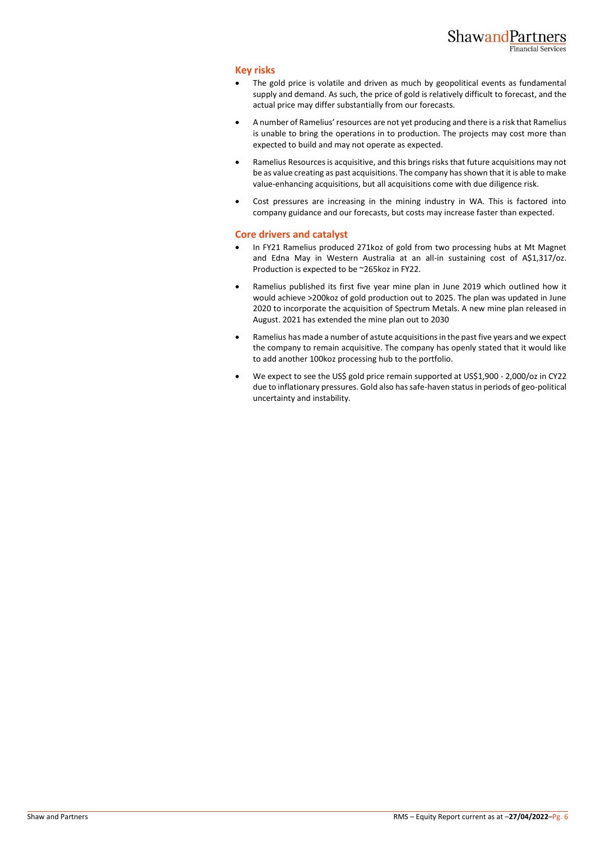#### **Key risks**

- The gold price is volatile and driven as much by geopolitical events as fundamental supply and demand. As such, the price of gold is relatively difficult to forecast, and the actual price may differ substantially from our forecasts.
- A number of Ramelius' resources are not yet producing and there is a risk that Ramelius is unable to bring the operations in to production. The projects may cost more than expected to build and may not operate as expected.
- Ramelius Resources is acquisitive, and this brings risks that future acquisitions may not be as value creating as past acquisitions. The company has shown that it is able to make value-enhancing acquisitions, but all acquisitions come with due diligence risk.
- Cost pressures are increasing in the mining industry in WA. This is factored into company guidance and our forecasts, but costs may increase faster than expected.

#### **Core drivers and catalyst**

- In FY21 Ramelius produced 271koz of gold from two processing hubs at Mt Magnet and Edna May in Western Australia at an all-in sustaining cost of A\$1,317/oz. Production is expected to be ~265koz in FY22.
- Ramelius published its first five year mine plan in June 2019 which outlined how it would achieve >200koz of gold production out to 2025. The plan was updated in June 2020 to incorporate the acquisition of Spectrum Metals. A new mine plan released in August. 2021 has extended the mine plan out to 2030
- Ramelius has made a number of astute acquisitions in the past five years and we expect the company to remain acquisitive. The company has openly stated that it would like to add another 100koz processing hub to the portfolio.
- We expect to see the US\$ gold price remain supported at US\$1,900 2,000/oz in CY22 due to inflationary pressures. Gold also has safe-haven status in periods of geo-political uncertainty and instability.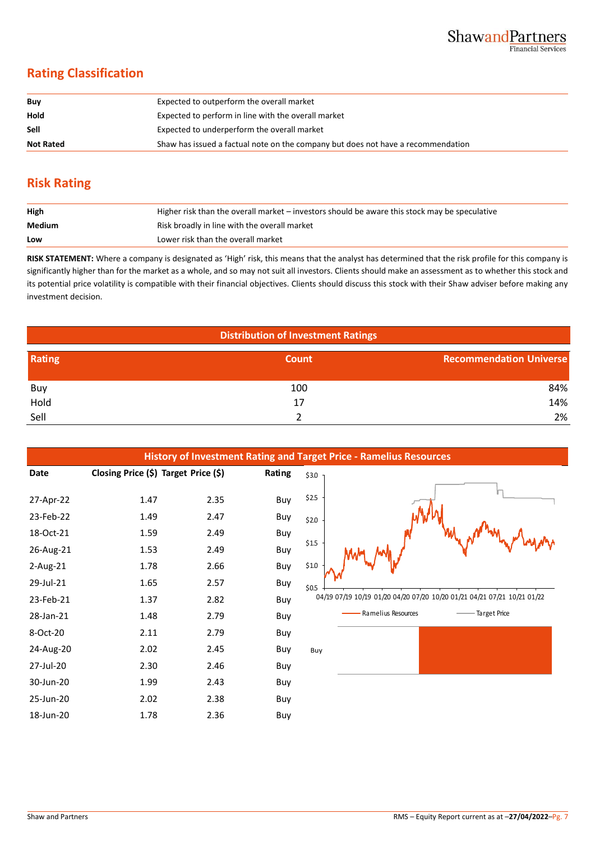### **Rating Classification**

| Buy              | Expected to outperform the overall market                                        |
|------------------|----------------------------------------------------------------------------------|
| Hold             | Expected to perform in line with the overall market                              |
| <b>Sell</b>      | Expected to underperform the overall market                                      |
| <b>Not Rated</b> | Shaw has issued a factual note on the company but does not have a recommendation |

### **Risk Rating**

| High   | Higher risk than the overall market – investors should be aware this stock may be speculative |  |  |  |  |
|--------|-----------------------------------------------------------------------------------------------|--|--|--|--|
| Medium | Risk broadly in line with the overall market                                                  |  |  |  |  |
| Low    | Lower risk than the overall market                                                            |  |  |  |  |

**RISK STATEMENT:** Where a company is designated as 'High' risk, this means that the analyst has determined that the risk profile for this company is significantly higher than for the market as a whole, and so may not suit all investors. Clients should make an assessment as to whether this stock and its potential price volatility is compatible with their financial objectives. Clients should discuss this stock with their Shaw adviser before making any investment decision.

| <b>Distribution of Investment Ratings</b> |              |                                |  |  |  |
|-------------------------------------------|--------------|--------------------------------|--|--|--|
| <b>Rating</b>                             | <b>Count</b> | <b>Recommendation Universe</b> |  |  |  |
| Buy                                       | 100          | 84%                            |  |  |  |
| Hold                                      | 17           | 14%                            |  |  |  |
| Sell                                      |              | 2%                             |  |  |  |

|             |                                      |      |        |       | <b>History of Investment Rating and Target Price - Ramelius Resources</b> |
|-------------|--------------------------------------|------|--------|-------|---------------------------------------------------------------------------|
| Date        | Closing Price (\$) Target Price (\$) |      | Rating | \$3.0 |                                                                           |
| 27-Apr-22   | 1.47                                 | 2.35 | Buy    | \$2.5 |                                                                           |
| 23-Feb-22   | 1.49                                 | 2.47 | Buy    | \$2.0 |                                                                           |
| 18-Oct-21   | 1.59                                 | 2.49 | Buy    |       |                                                                           |
| 26-Aug-21   | 1.53                                 | 2.49 | Buy    | \$1.5 |                                                                           |
| $2$ -Aug-21 | 1.78                                 | 2.66 | Buy    | \$1.0 |                                                                           |
| 29-Jul-21   | 1.65                                 | 2.57 | Buy    | \$0.5 |                                                                           |
| 23-Feb-21   | 1.37                                 | 2.82 | Buy    |       | 04/19 07/19 10/19 01/20 04/20 07/20 10/20                                 |
| 28-Jan-21   | 1.48                                 | 2.79 | Buy    |       | Ramelius Resources                                                        |
| 8-Oct-20    | 2.11                                 | 2.79 | Buy    |       |                                                                           |
| 24-Aug-20   | 2.02                                 | 2.45 | Buy    | Buy   |                                                                           |
| 27-Jul-20   | 2.30                                 | 2.46 | Buy    |       |                                                                           |
| 30-Jun-20   | 1.99                                 | 2.43 | Buy    |       |                                                                           |
| 25-Jun-20   | 2.02                                 | 2.38 | Buy    |       |                                                                           |
| 18-Jun-20   | 1.78                                 | 2.36 | Buy    |       |                                                                           |